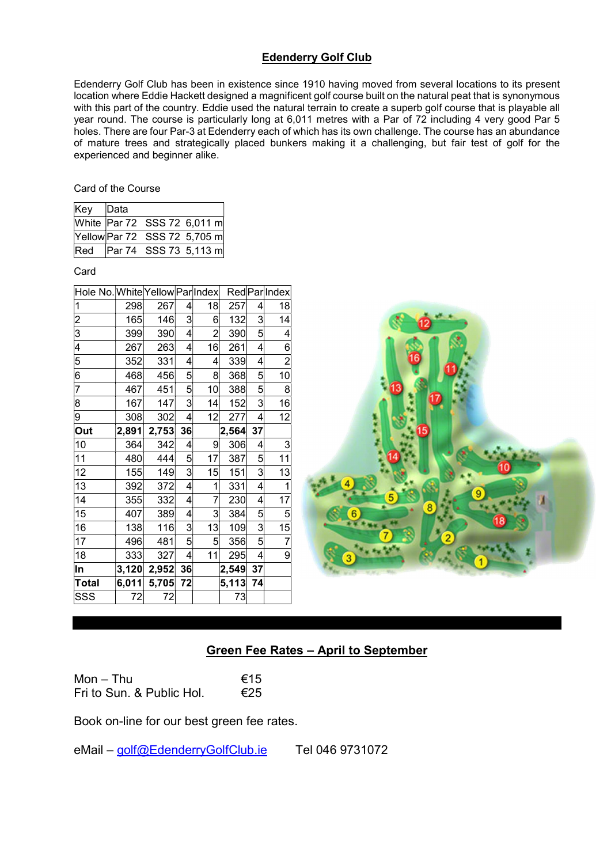## Edenderry Golf Club

Edenderry Golf Club has been in existence since 1910 having moved from several locations to its present location where Eddie Hackett designed a magnificent golf course built on the natural peat that is synonymous with this part of the country. Eddie used the natural terrain to create a superb golf course that is playable all year round. The course is particularly long at 6,011 metres with a Par of 72 including 4 very good Par 5 holes. There are four Par-3 at Edenderry each of which has its own challenge. The course has an abundance of mature trees and strategically placed bunkers making it a challenging, but fair test of golf for the experienced and beginner alike.

Card of the Course

| Key Data |                              |  |
|----------|------------------------------|--|
|          | White Par 72 SSS 72 6,011 m  |  |
|          | Yellow Par 72 SSS 72 5,705 m |  |
| Red      | Par 74 SSS 73 5,113 m        |  |

Card

| Hole No. White Yellow ParlIndex |       |       |                         |                |       |                         | Red ParlIndex  |
|---------------------------------|-------|-------|-------------------------|----------------|-------|-------------------------|----------------|
| 1                               | 298   | 267   | 4                       | 18             | 257   | 4                       | 18             |
| $\overline{\mathbf{c}}$         | 165   | 146   | $\mathbf{3}$            | 6              | 132   | 3                       | 14             |
| $\overline{3}$                  | 399   | 390   | $\overline{\mathbf{r}}$ | $\overline{2}$ | 390   | 5                       | 4              |
| 4                               | 267   | 263   | $\overline{4}$          | 16             | 261   | 4                       | 6              |
| $\overline{5}$                  | 352   | 331   | $\vert 4 \vert$         | 4              | 339   | 4                       | $\overline{c}$ |
| $\overline{6}$                  | 468   | 456   | $\overline{5}$          | 8              | 368   | 5                       | 10             |
| 7                               | 467   | 451   | $\overline{5}$          | 10             | 388   | $\overline{5}$          | 8              |
| 8                               | 167   | 147   | $\overline{3}$          | 14             | 152   | 3                       | 16             |
| $\overline{9}$                  | 308   | 302   | $\overline{\mathbf{r}}$ | 12             | 277   | 4                       | 12             |
| Out                             | 2,891 | 2,753 | 36                      |                | 2,564 | 37                      |                |
| 10                              | 364   | 342   | 4                       | 9              | 306   | 4                       | 3              |
| 11                              | 480   | 444   | $\mathbf{5}$            | 17             | 387   | 5                       | 11             |
| 12                              | 155   | 149   | $\overline{3}$          | 15             | 151   | $\overline{\mathbf{3}}$ | 13             |
| 13                              | 392   | 372   | $\overline{\mathbf{r}}$ | 1              | 331   | 4                       | 1              |
| 14                              | 355   | 332   | $\overline{4}$          | $\overline{7}$ | 230   | 4                       | 17             |
| 15                              | 407   | 389   | $\overline{4}$          | 3              | 384   | $\mathbf{5}$            | $\overline{5}$ |
| 16                              | 138   | 116   | $\overline{3}$          | 13             | 109   | $\overline{\mathbf{3}}$ | 15             |
| 17                              | 496   | 481   | $\overline{5}$          | 5              | 356   | 5                       | 7              |
| 18                              | 333   | 327   | $\overline{\mathbf{r}}$ | 11             | 295   | 4                       | 9              |
| ln                              | 3,120 | 2,952 | 36                      |                | 2,549 | 37                      |                |
| <b>Total</b>                    | 6,011 | 5,705 | 72                      |                | 5,113 | 74                      |                |
| SSS                             | 72    | 72    |                         |                | 73    |                         |                |



# Green Fee Rates – April to September

Mon – Thu  $\epsilon$ 15<br>Fri to Sun & Public Hol  $\epsilon$ 25 Fri to Sun. & Public Hol.

Book on-line for our best green fee rates.

eMail – golf@EdenderryGolfClub.ie Tel 046 9731072